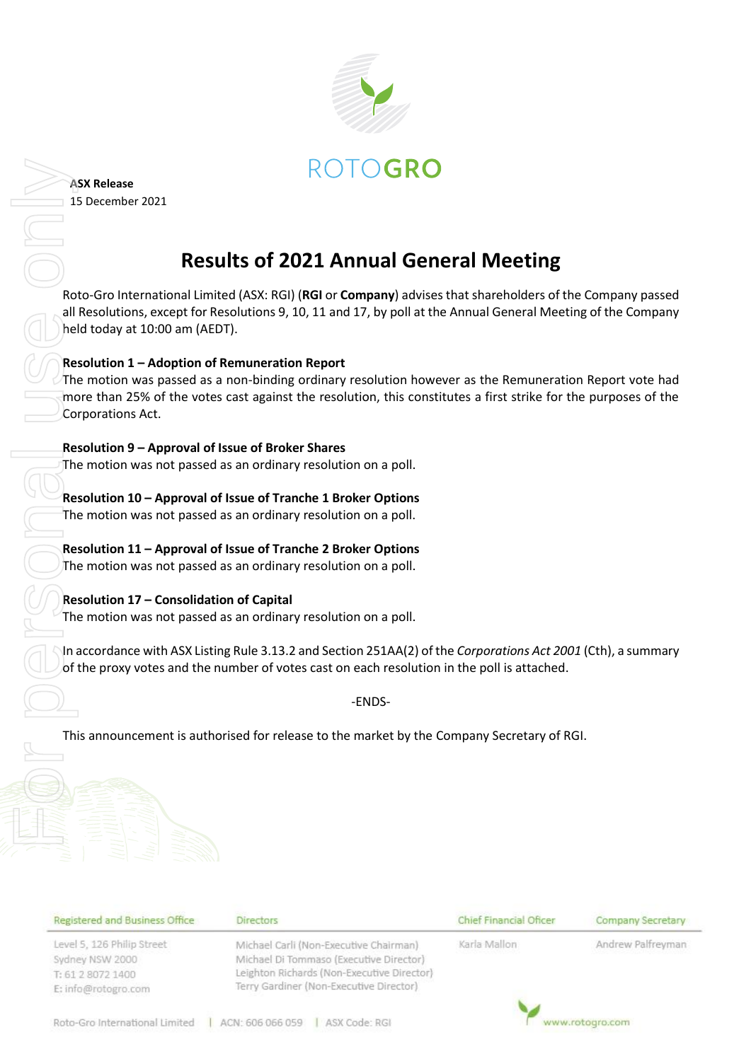

**ASX Release** 15 December 2021

# **Results of 2021 Annual General Meeting**

Roto-Gro International Limited (ASX: RGI) (**RGI** or **Company**) advises that shareholders of the Company passed all Resolutions, except for Resolutions 9, 10, 11 and 17, by poll at the Annual General Meeting of the Company held today at 10:00 am (AEDT).

### **Resolution 1 – Adoption of Remuneration Report**

The motion was passed as a non-binding ordinary resolution however as the Remuneration Report vote had more than 25% of the votes cast against the resolution, this constitutes a first strike for the purposes of the Corporations Act.

# **Resolution 9 – Approval of Issue of Broker Shares**

The motion was not passed as an ordinary resolution on a poll.

**Resolution 10 – Approval of Issue of Tranche 1 Broker Options** The motion was not passed as an ordinary resolution on a poll.

**Resolution 11 – Approval of Issue of Tranche 2 Broker Options** The motion was not passed as an ordinary resolution on a poll.

### **Resolution 17 – Consolidation of Capital**

The motion was not passed as an ordinary resolution on a poll.

In accordance with ASX Listing Rule 3.13.2 and Section 251AA(2) of the *Corporations Act 2001* (Cth), a summary of the proxy votes and the number of votes cast on each resolution in the poll is attached.

-ENDS-

| Registered and Business Office | <b>Directors</b>                           | Chief Financial Oficer | Company Secretary |  |
|--------------------------------|--------------------------------------------|------------------------|-------------------|--|
| Level 5, 126 Philip Street     | Michael Carli (Non-Executive Chairman)     | Karla Mallon           | Andrew Palfreyman |  |
| Sydney NSW 2000                | Michael Di Tommaso (Executive Director)    |                        |                   |  |
| T: 61 2 8072 1400              | Leighton Richards (Non-Executive Director) |                        |                   |  |
| E: info@rotogro.com            | Terry Gardiner (Non-Executive Director)    |                        |                   |  |
|                                |                                            |                        |                   |  |
| Roto-Gro International Limited | ACN: 606 066 059<br>ASX Code: RGI          |                        | www.rotogro.com   |  |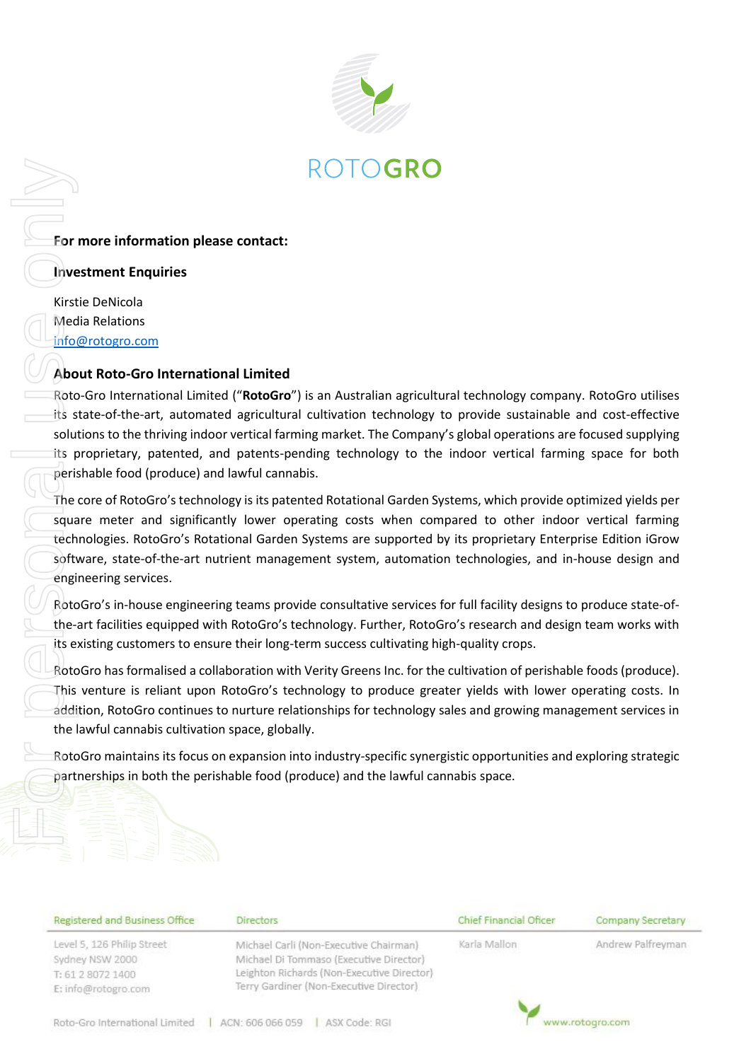

#### **For more information please contact:**

#### **Investment Enquiries**

Kirstie DeNicola Media Relations [info@rotogro.com](mailto:info@rotogro.com)

### **About Roto-Gro International Limited**

Roto-Gro International Limited ("**RotoGro**") is an Australian agricultural technology company. RotoGro utilises its state-of-the-art, automated agricultural cultivation technology to provide sustainable and cost-effective solutions to the thriving indoor vertical farming market. The Company's global operations are focused supplying its proprietary, patented, and patents-pending technology to the indoor vertical farming space for both perishable food (produce) and lawful cannabis.

The core of RotoGro's technology is its patented Rotational Garden Systems, which provide optimized yields per square meter and significantly lower operating costs when compared to other indoor vertical farming technologies. RotoGro's Rotational Garden Systems are supported by its proprietary Enterprise Edition iGrow software, state-of-the-art nutrient management system, automation technologies, and in-house design and engineering services. **FRO TO GRO**<br>
For more information please contact:<br>
Investment Enquiries<br>
Kirstie DeNicola<br>
Media Relations<br>
Infedia Relations<br>
Infedia Relations<br>
About Roto-Gro International Limited<br>
Texto-Gro International Limited ("Ro

RotoGro's in-house engineering teams provide consultative services for full facility designs to produce state-ofthe-art facilities equipped with RotoGro's technology. Further, RotoGro's research and design team works with its existing customers to ensure their long-term success cultivating high-quality crops.

RotoGro has formalised a collaboration with Verity Greens Inc. for the cultivation of perishable foods (produce). This venture is reliant upon RotoGro's technology to produce greater yields with lower operating costs. In addition, RotoGro continues to nurture relationships for technology sales and growing management services in the lawful cannabis cultivation space, globally.

RotoGro maintains its focus on expansion into industry-specific synergistic opportunities and exploring strategic

| Registered and Business Office                                                            | Directors                                                                                                                                                                  | Chief Financial Oficer | Company Secretary |
|-------------------------------------------------------------------------------------------|----------------------------------------------------------------------------------------------------------------------------------------------------------------------------|------------------------|-------------------|
| Level 5, 126 Philip Street<br>Sydney NSW 2000<br>T: 61 2 8072 1400<br>E: info@rotogro.com | Michael Carli (Non-Executive Chairman)<br>Michael Di Tommaso (Executive Director)<br>Leighton Richards (Non-Executive Director)<br>Terry Gardiner (Non-Executive Director) | Karla Mallon           | Andrew Palfreyman |
| Roto-Gro International Limited                                                            | ACN: 606 066 059<br>ASX Code: RGI                                                                                                                                          |                        | www.rotogro.com   |